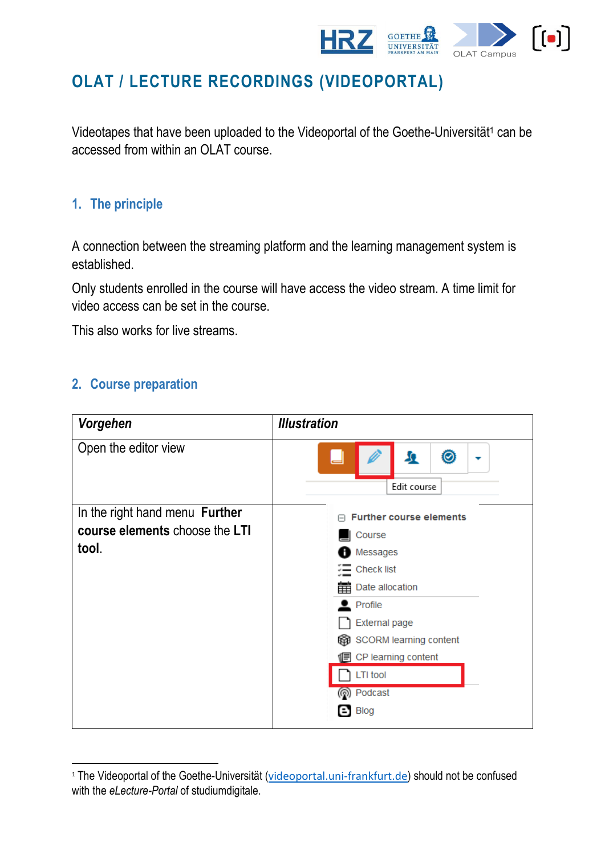

# **OLAT / LECTURE RECORDINGS (VIDEOPORTAL)**

Videotapes that have been uploaded to the Videoportal of the Goethe-Universität<sup>1</sup> can be accessed from within an OLAT course.

# **1. The principle**

A connection between the streaming platform and the learning management system is established.

Only students enrolled in the course will have access the video stream. A time limit for video access can be set in the course.

This also works for live streams.

#### **2. Course preparation**

-

| Vorgehen                       | <b>Illustration</b>              |
|--------------------------------|----------------------------------|
| Open the editor view           | 0<br>я<br>▼<br>Edit course       |
| In the right hand menu Further | <b>Further course elements</b>   |
| course elements choose the LTI | Course                           |
| tool.                          | <b>D</b> Messages                |
|                                | <b>E</b> Check list              |
|                                | 第 Date allocation                |
|                                | $\mathbf{\underline{e}}$ Profile |
|                                | External page                    |
|                                | SCORM learning content           |
|                                | <b>ID</b> CP learning content    |
|                                | <b>LTI</b> tool                  |
|                                | nodcast                          |
|                                | $\Box$ Blog                      |

<sup>&</sup>lt;sup>1</sup> The Videoportal of the Goethe-Universität ([videoportal.uni-frankfurt.de](http://videoportal.uni-frankfurt.de/)) should not be confused with the *eLecture-Portal* of studiumdigitale.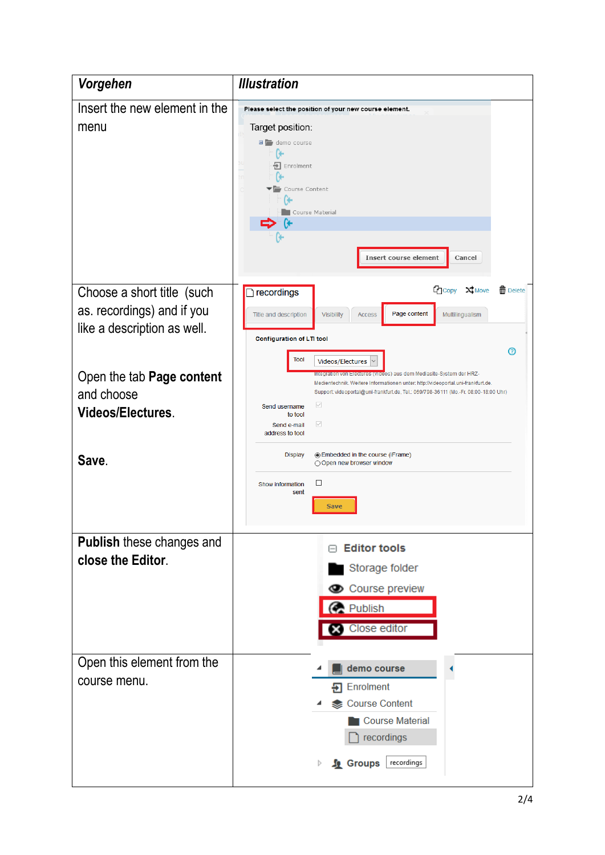| Vorgehen                                                                                                                                                         | <b>Illustration</b>                                                                                                                                                                                                                                                                                                                                                                                                                                                                                                                                                                                                                                              |
|------------------------------------------------------------------------------------------------------------------------------------------------------------------|------------------------------------------------------------------------------------------------------------------------------------------------------------------------------------------------------------------------------------------------------------------------------------------------------------------------------------------------------------------------------------------------------------------------------------------------------------------------------------------------------------------------------------------------------------------------------------------------------------------------------------------------------------------|
| Insert the new element in the<br>menu                                                                                                                            | Please select the position of your new course element.<br>Target position:<br>$\Box$ demo course<br>÷۱<br>Enrolment<br>Course Content<br>Course Material<br><b>Insert course element</b><br>Cancel                                                                                                                                                                                                                                                                                                                                                                                                                                                               |
| Choose a short title (such<br>as. recordings) and if you<br>like a description as well.<br>Open the tab Page content<br>and choose<br>Videos/Electures.<br>Save. | <b>C</b> Copy<br>X Move<br><b>而</b> Delete<br>$\Box$ recordings<br>Page content<br>Multilingualism<br>Title and description<br>Visibility<br><b>Access</b><br>Configuration of LTI tool<br>の<br><b>Tool</b><br>Videos/Electures<br>Integration von Electures (Videos) aus dem Mediasite-System der HRZ-<br>Medientechnik. Weitere Informationen unter: http://videoportal.uni-frankfurt.de.<br>Support: videoportal@uni-frankfurt.de, Tel.: 069/798-36111 (Mo.-Fr. 08:00-18:00 Uhr)<br>$\small \diagdown$<br>Send username<br>to tool<br>☑<br>Send e-mail<br>address to tool<br><b>Display</b><br>◉ Embedded in the course (iFrame)<br>◯ Open new browser window |
| <b>Publish these changes and</b><br>close the Editor.                                                                                                            | □<br>Show information<br>sent<br><b>Save</b><br><b>Editor tools</b><br>Storage folder<br>Course preview<br><b>Publish</b><br><b>83</b> Close editor                                                                                                                                                                                                                                                                                                                                                                                                                                                                                                              |
| Open this element from the<br>course menu.                                                                                                                       | demo course<br>+ Enrolment<br>Course Content<br>Course Material<br>recordings<br>recordings<br><b>A</b> Groups<br>Þ                                                                                                                                                                                                                                                                                                                                                                                                                                                                                                                                              |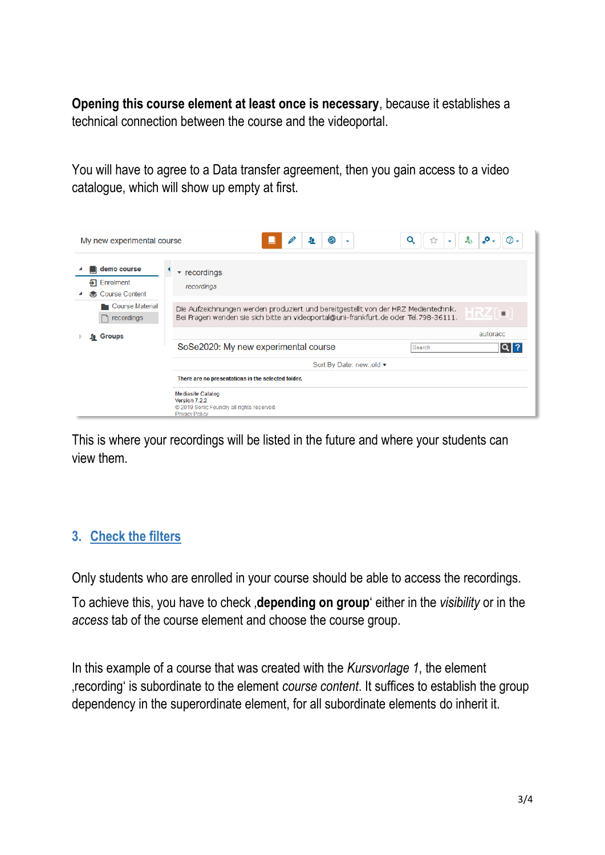**Opening this course element at least once is necessary**, because it establishes a technical connection between the course and the videoportal.

You will have to agree to a Data transfer agreement, then you gain access to a video catalogue, which will show up empty at first.

| My new experimental course                                | $\odot$<br>Q<br>л<br>☆<br>$\overline{\phantom{a}}$                                                                                                                         | $\cdot$ .<br>$\circledR$<br>$\sim$ |  |  |
|-----------------------------------------------------------|----------------------------------------------------------------------------------------------------------------------------------------------------------------------------|------------------------------------|--|--|
| demo course<br>$\overline{P}$ Enrolment<br>Course Content | $\sqrt{\ }$ recordings<br>recordings                                                                                                                                       |                                    |  |  |
| <b>Course Material</b><br>recordings                      | Die Aufzeichnungen werden produziert und bereitgestellt von der HRZ Medientechnik.<br>Bei Fragen wenden sie sich bitte an videoportal@uni-frankfurt.de oder Tel.798-36111. | $\blacksquare$                     |  |  |
| Groups<br>Ю                                               | SoSe2020: My new experimental course<br>Search                                                                                                                             | autoracc<br>$Q$ ?                  |  |  |
|                                                           | Sort By Date: newold ▼                                                                                                                                                     |                                    |  |  |
| There are no presentations in the selected folder.        |                                                                                                                                                                            |                                    |  |  |
|                                                           | <b>Mediasite Catalog</b><br>Version 7.2.2<br>@ 2019 Sonic Foundry all rights reserved.<br><b>Privacy Policy</b>                                                            |                                    |  |  |

This is where your recordings will be listed in the future and where your students can view them.

### **3. Check the filters**

Only students who are enrolled in your course should be able to access the recordings.

To achieve this, you have to check '**depending on group**' either in the *visibility* or in the *access* tab of the course element and choose the course group.

In this example of a course that was created with the *Kursvorlage 1*, the element 'recording' is subordinate to the element *course content*. It suffices to establish the group dependency in the superordinate element, for all subordinate elements do inherit it.